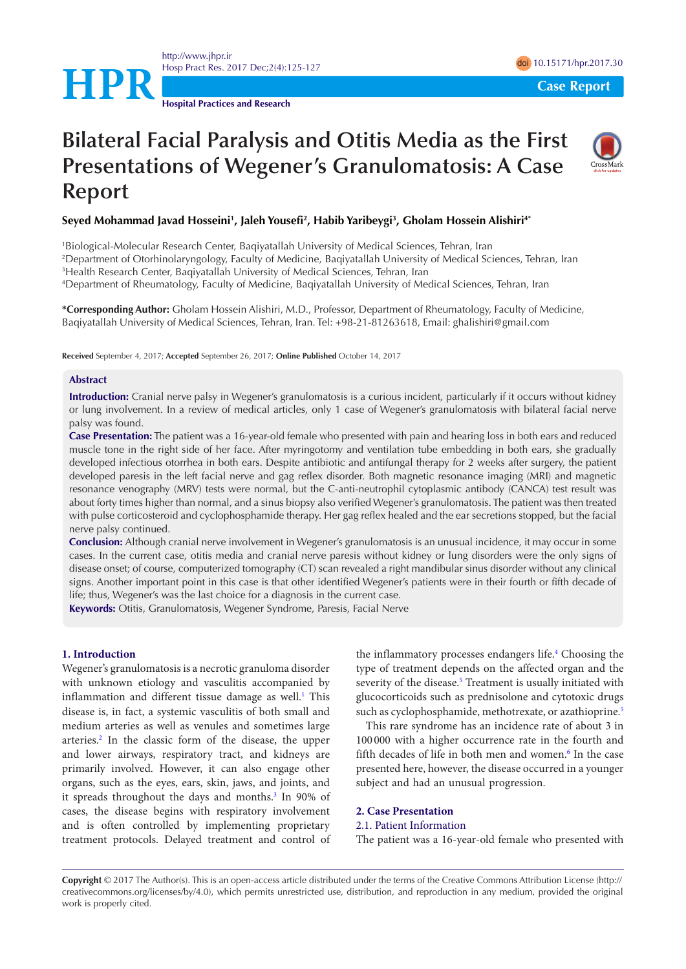<http://www.jhpr.ir> Hosp Pract Res. 2017 Dec;2(4):125-127 doi [10.15171/hpr.2017.30](https://doi.org/10.15171/hpr.2017.30) **HPR**Case Report

**Hospital Practices and Research**

# **Bilateral Facial Paralysis and Otitis Media as the First Presentations of Wegener's Granulomatosis: A Case Report**



#### **Seyed Mohammad Javad Hosseini1 , Jaleh Yousefi2 , Habib Yaribeygi3 , Gholam Hossein Alishiri4\***

 Biological-Molecular Research Center, Baqiyatallah University of Medical Sciences, Tehran, Iran Department of Otorhinolaryngology, Faculty of Medicine, Baqiyatallah University of Medical Sciences, Tehran, Iran Health Research Center, Baqiyatallah University of Medical Sciences, Tehran, Iran Department of Rheumatology, Faculty of Medicine, Baqiyatallah University of Medical Sciences, Tehran, Iran

**\*Corresponding Author:** Gholam Hossein Alishiri, M.D., Professor, Department of Rheumatology, Faculty of Medicine, Baqiyatallah University of Medical Sciences, Tehran, Iran. Tel: +98-21-81263618, Email: ghalishiri@gmail.com

**Received** September 4, 2017; **Accepted** September 26, 2017; **Online Published** October 14, 2017

#### **Abstract**

**Introduction:** Cranial nerve palsy in Wegener's granulomatosis is a curious incident, particularly if it occurs without kidney or lung involvement. In a review of medical articles, only 1 case of Wegener's granulomatosis with bilateral facial nerve palsy was found.

**Case Presentation:** The patient was a 16-year-old female who presented with pain and hearing loss in both ears and reduced muscle tone in the right side of her face. After myringotomy and ventilation tube embedding in both ears, she gradually developed infectious otorrhea in both ears. Despite antibiotic and antifungal therapy for 2 weeks after surgery, the patient developed paresis in the left facial nerve and gag reflex disorder. Both magnetic resonance imaging (MRI) and magnetic resonance venography (MRV) tests were normal, but the C-anti-neutrophil cytoplasmic antibody (CANCA) test result was about forty times higher than normal, and a sinus biopsy also verified Wegener's granulomatosis. The patient was then treated with pulse corticosteroid and cyclophosphamide therapy. Her gag reflex healed and the ear secretions stopped, but the facial nerve palsy continued.

**Conclusion:** Although cranial nerve involvement in Wegener's granulomatosis is an unusual incidence, it may occur in some cases. In the current case, otitis media and cranial nerve paresis without kidney or lung disorders were the only signs of disease onset; of course, computerized tomography (CT) scan revealed a right mandibular sinus disorder without any clinical signs. Another important point in this case is that other identified Wegener's patients were in their fourth or fifth decade of life; thus, Wegener's was the last choice for a diagnosis in the current case.

**Keywords:** Otitis, Granulomatosis, Wegener Syndrome, Paresis, Facial Nerve

### **1. Introduction**

Wegener's granulomatosis is a necrotic granuloma disorder with unknown etiology and vasculitis accompanied by inflammation and different tissue damage as well.<sup>[1](#page-2-0)</sup> This disease is, in fact, a systemic vasculitis of both small and medium arteries as well as venules and sometimes large arteries.<sup>[2](#page-2-1)</sup> In the classic form of the disease, the upper and lower airways, respiratory tract, and kidneys are primarily involved. However, it can also engage other organs, such as the eyes, ears, skin, jaws, and joints, and it spreads throughout the days and months.<sup>[3](#page-2-2)</sup> In 90% of cases, the disease begins with respiratory involvement and is often controlled by implementing proprietary treatment protocols. Delayed treatment and control of the inflammatory processes endangers life.<sup>4</sup> Choosing the type of treatment depends on the affected organ and the severity of the disease.<sup>[5](#page-2-4)</sup> Treatment is usually initiated with glucocorticoids such as prednisolone and cytotoxic drugs such as cyclophosphamide, methotrexate, or azathioprine.<sup>[5](#page-2-4)</sup>

This rare syndrome has an incidence rate of about 3 in 100 000 with a higher occurrence rate in the fourth and fifth decades of life in both men and women.<sup>6</sup> In the case presented here, however, the disease occurred in a younger subject and had an unusual progression.

#### **2. Case Presentation**

#### 2.1. Patient Information

The patient was a 16-year-old female who presented with

**Copyright** © 2017 The Author(s). This is an open-access article distributed under the terms of the Creative Commons Attribution License (http:// creativecommons.org/licenses/by/4.0), which permits unrestricted use, distribution, and reproduction in any medium, provided the original work is properly cited.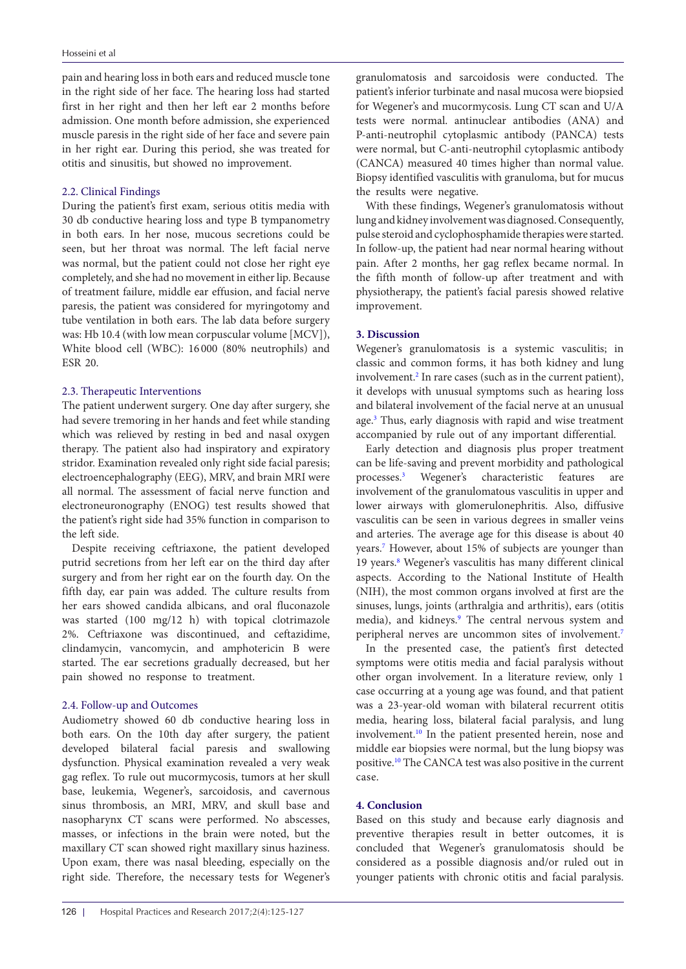pain and hearing loss in both ears and reduced muscle tone in the right side of her face. The hearing loss had started first in her right and then her left ear 2 months before admission. One month before admission, she experienced muscle paresis in the right side of her face and severe pain in her right ear. During this period, she was treated for otitis and sinusitis, but showed no improvement.

#### 2.2. Clinical Findings

During the patient's first exam, serious otitis media with 30 db conductive hearing loss and type B tympanometry in both ears. In her nose, mucous secretions could be seen, but her throat was normal. The left facial nerve was normal, but the patient could not close her right eye completely, and she had no movement in either lip. Because of treatment failure, middle ear effusion, and facial nerve paresis, the patient was considered for myringotomy and tube ventilation in both ears. The lab data before surgery was: Hb 10.4 (with low mean corpuscular volume [MCV]), White blood cell (WBC): 16 000 (80% neutrophils) and ESR 20.

#### 2.3. Therapeutic Interventions

The patient underwent surgery. One day after surgery, she had severe tremoring in her hands and feet while standing which was relieved by resting in bed and nasal oxygen therapy. The patient also had inspiratory and expiratory stridor. Examination revealed only right side facial paresis; electroencephalography (EEG), MRV, and brain MRI were all normal. The assessment of facial nerve function and electroneuronography (ENOG) test results showed that the patient's right side had 35% function in comparison to the left side.

Despite receiving ceftriaxone, the patient developed putrid secretions from her left ear on the third day after surgery and from her right ear on the fourth day. On the fifth day, ear pain was added. The culture results from her ears showed candida albicans, and oral fluconazole was started (100 mg/12 h) with topical clotrimazole 2%. Ceftriaxone was discontinued, and ceftazidime, clindamycin, vancomycin, and amphotericin B were started. The ear secretions gradually decreased, but her pain showed no response to treatment.

#### 2.4. Follow-up and Outcomes

Audiometry showed 60 db conductive hearing loss in both ears. On the 10th day after surgery, the patient developed bilateral facial paresis and swallowing dysfunction. Physical examination revealed a very weak gag reflex. To rule out mucormycosis, tumors at her skull base, leukemia, Wegener's, sarcoidosis, and cavernous sinus thrombosis, an MRI, MRV, and skull base and nasopharynx CT scans were performed. No abscesses, masses, or infections in the brain were noted, but the maxillary CT scan showed right maxillary sinus haziness. Upon exam, there was nasal bleeding, especially on the right side. Therefore, the necessary tests for Wegener's

granulomatosis and sarcoidosis were conducted. The patient's inferior turbinate and nasal mucosa were biopsied for Wegener's and mucormycosis. Lung CT scan and U/A tests were normal. antinuclear antibodies (ANA) and P-anti-neutrophil cytoplasmic antibody (PANCA) tests were normal, but C-anti-neutrophil cytoplasmic antibody (CANCA) measured 40 times higher than normal value. Biopsy identified vasculitis with granuloma, but for mucus the results were negative.

With these findings, Wegener's granulomatosis without lung and kidney involvement was diagnosed. Consequently, pulse steroid and cyclophosphamide therapies were started. In follow-up, the patient had near normal hearing without pain. After 2 months, her gag reflex became normal. In the fifth month of follow-up after treatment and with physiotherapy, the patient's facial paresis showed relative improvement.

#### **3. Discussion**

Wegener's granulomatosis is a systemic vasculitis; in classic and common forms, it has both kidney and lung involvement.<sup>[2](#page-2-1)</sup> In rare cases (such as in the current patient), it develops with unusual symptoms such as hearing loss and bilateral involvement of the facial nerve at an unusual age.<sup>3</sup> Thus, early diagnosis with rapid and wise treatment accompanied by rule out of any important differential.

Early detection and diagnosis plus proper treatment can be life-saving and prevent morbidity and pathological processes.[3](#page-2-2) Wegener's characteristic features are involvement of the granulomatous vasculitis in upper and lower airways with glomerulonephritis. Also, diffusive vasculitis can be seen in various degrees in smaller veins and arteries. The average age for this disease is about 40 years.[7](#page-2-6) However, about 15% of subjects are younger than 19 years.<sup>8</sup> Wegener's vasculitis has many different clinical aspects. According to the National Institute of Health (NIH), the most common organs involved at first are the sinuses, lungs, joints (arthralgia and arthritis), ears (otitis media), and kidneys.<sup>9</sup> The central nervous system and peripheral nerves are uncommon sites of involvement.<sup>[7](#page-2-6)</sup>

In the presented case, the patient's first detected symptoms were otitis media and facial paralysis without other organ involvement. In a literature review, only 1 case occurring at a young age was found, and that patient was a 23-year-old woman with bilateral recurrent otitis media, hearing loss, bilateral facial paralysis, and lung involvement.[10](#page-2-9) In the patient presented herein, nose and middle ear biopsies were normal, but the lung biopsy was positive[.10](#page-2-9) The CANCA test was also positive in the current case.

## **4. Conclusion**

Based on this study and because early diagnosis and preventive therapies result in better outcomes, it is concluded that Wegener's granulomatosis should be considered as a possible diagnosis and/or ruled out in younger patients with chronic otitis and facial paralysis.